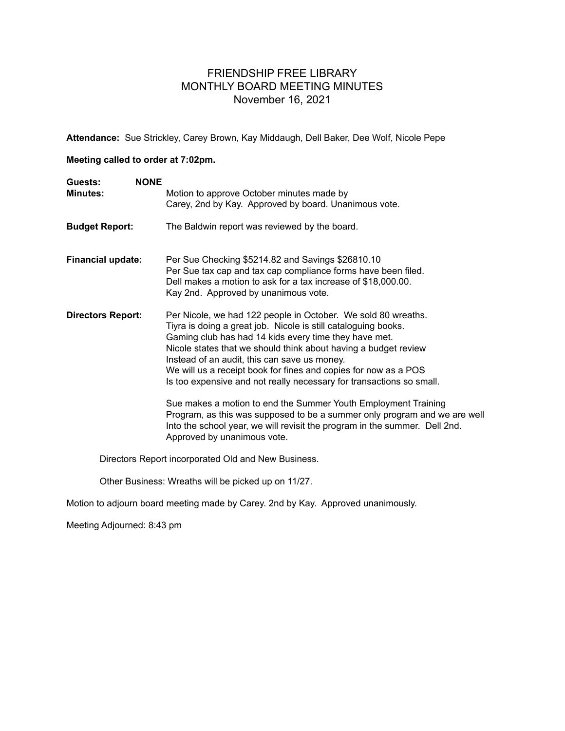## FRIENDSHIP FREE LIBRARY MONTHLY BOARD MEETING MINUTES November 16, 2021

**Attendance:** Sue Strickley, Carey Brown, Kay Middaugh, Dell Baker, Dee Wolf, Nicole Pepe

## **Meeting called to order at 7:02pm.**

| <b>NONE</b><br>Guests:<br><b>Minutes:</b> | Motion to approve October minutes made by<br>Carey, 2nd by Kay. Approved by board. Unanimous vote.                                                                                                                                                                                                                                                                                                                                                                                                                                                                                                                                                                                                                 |
|-------------------------------------------|--------------------------------------------------------------------------------------------------------------------------------------------------------------------------------------------------------------------------------------------------------------------------------------------------------------------------------------------------------------------------------------------------------------------------------------------------------------------------------------------------------------------------------------------------------------------------------------------------------------------------------------------------------------------------------------------------------------------|
| <b>Budget Report:</b>                     | The Baldwin report was reviewed by the board.                                                                                                                                                                                                                                                                                                                                                                                                                                                                                                                                                                                                                                                                      |
| <b>Financial update:</b>                  | Per Sue Checking \$5214.82 and Savings \$26810.10<br>Per Sue tax cap and tax cap compliance forms have been filed.<br>Dell makes a motion to ask for a tax increase of \$18,000.00.<br>Kay 2nd. Approved by unanimous vote.                                                                                                                                                                                                                                                                                                                                                                                                                                                                                        |
| <b>Directors Report:</b>                  | Per Nicole, we had 122 people in October. We sold 80 wreaths.<br>Tiyra is doing a great job. Nicole is still cataloguing books.<br>Gaming club has had 14 kids every time they have met.<br>Nicole states that we should think about having a budget review<br>Instead of an audit, this can save us money.<br>We will us a receipt book for fines and copies for now as a POS<br>Is too expensive and not really necessary for transactions so small.<br>Sue makes a motion to end the Summer Youth Employment Training<br>Program, as this was supposed to be a summer only program and we are well<br>Into the school year, we will revisit the program in the summer. Dell 2nd.<br>Approved by unanimous vote. |

Directors Report incorporated Old and New Business.

Other Business: Wreaths will be picked up on 11/27.

Motion to adjourn board meeting made by Carey. 2nd by Kay. Approved unanimously.

Meeting Adjourned: 8:43 pm